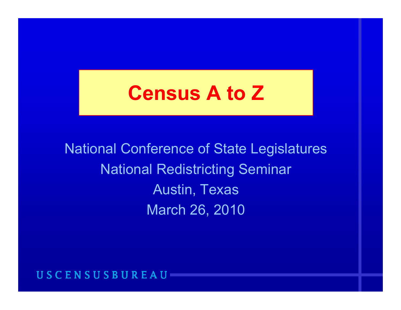# **Census A to Z**

National Conference of State Legislatures National Redistrictin g Semina r Austin, Texas March 26, 2010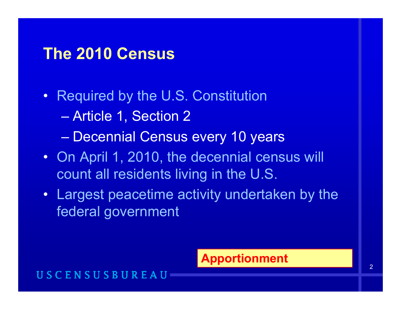### **The 2010 Census**

- Required by the U.S. Constitution
	- Article 1, Section 2
	- Decennial Census every 10 years
- On April 1, 2010, the decennial census will count all residents living in the U.S.  $\,$
- Largest peacetime activity undertaken by the federal government

### **Apportionment**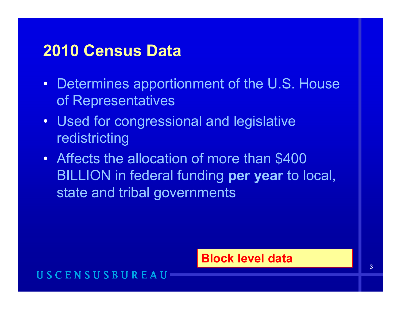### **2010 Census Data**

- Determines apportionment of the U.S. House of Representatives
- Used for congressional and legislative redistricting
- $\bullet$  Affects the allocation of more than \$400 BILLION in federal funding per year to local, state and tribal governments

### **Block level data**

### USCENSUSBUR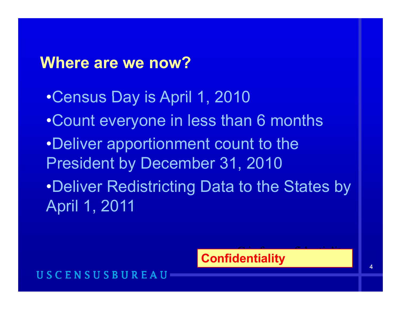### **Where are we now?**

•Census Day is April 1, 2010 •Count everyone in less than 6 months •Deliver apportionment count to the President by December 31, 2010 •Deliver Redistricting Data to the States by April 1, 2011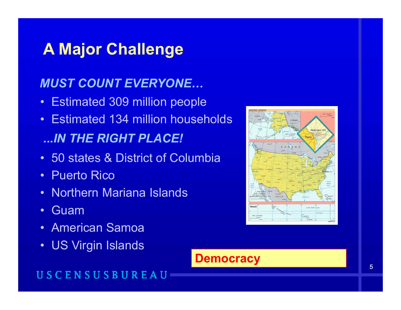# **A Major Challenge**

### *MUST COUNT EVERYONE…*

- Estimated 309 million people
- Estimated 134 million households *...IN THE RIGHT PLACE! IN*
- 50 states & District of Columbia
- Puerto Rico
- Northern Mariana Islands
- •Guam
- American Samoa
- US Virgin Islands Democracy



**Democracy** 

### USCENSUSBUREAU

5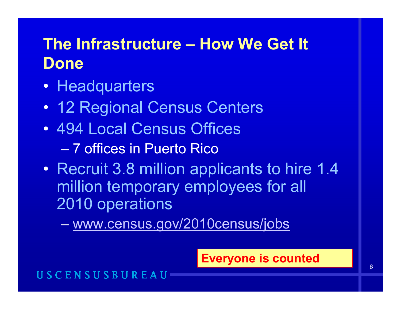# **The Infrastructure – How We Get It Done**

- Headquarters
- $\bullet$ 12 Regional Census Centers
- 494 Local Census Offices – 7 offices in Puerto Rico
- Recruit 3.8 million applicants to hire 1.4 million temporary employees for all 2010 operations

www.census.gov/2010census/jobs

### **Everyone is counted**

#### USCENSUSBUR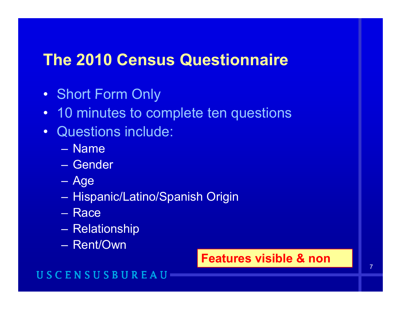### **The 2010 Census Questionnaire**

- Short Form Only
- 10 minutes to complete ten questions
- Questions include:
	- Name
	- Gender
	- Age
	- Hispanic/Latino/Spanish Origin
	- Race
	- –**Relationship**
	- Rent/Own

### **Features visible & non**

### **USCENSUSBU**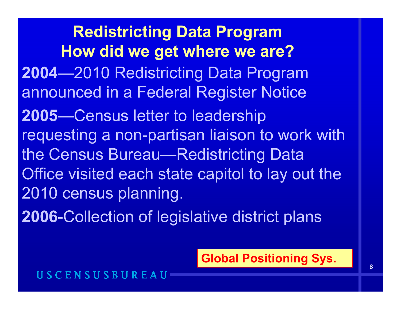**Redistricting Data Program How did we get where we are? 2004**—2010 Redistricting Data Program announced in a Federal Register Notice **2005**—Census letter to leadership requesting a non-partisan liaison to work with the Census Bureau—Redistricting Data Office visited each state capitol to lay out the 2010 census planning.

**2006-Collection of legislative district plans** 

**Global Positioning Sys.**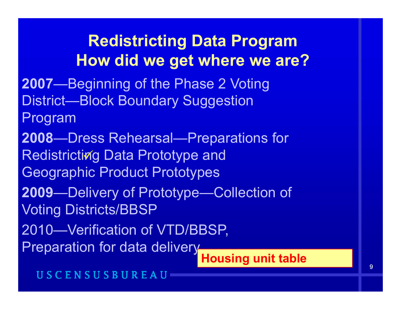# **Redistricting Data Program H did t h ? How did we ge t w here we are**

- **2007**—Beginning of the Phase 2 Voting District—Block Boundary Suggestion
- Program
- **2008—Dress Rehearsal—Preparations f** Redistricting Data Prototype and —Dress Rehearsal—Preparations for Geographic Product Prototypes
- **2009**—Delivery of Prototype—Collection of Voting Districts/BBSP
- 2010—Verification of VTD/BBSP,
- Preparation for data delivery<br>Housing unit table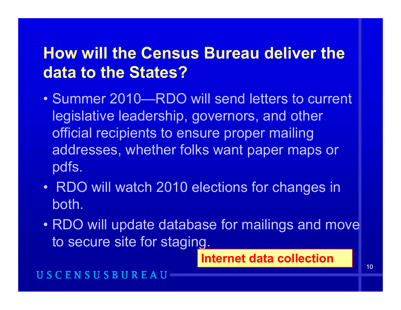# **How will the Census Bureau deliver the data to the States?**

- Summer 2010—RDO will send letters to current legislative leadership, governors, and other official recipients to ensure proper mailing addresses, whether folks want paper maps or pdfs.
- RDO will watch 2010 elections for changes in both.
- RDO will update database for mailings and move to secure site for staging.

**Internet data collection**

#### USCENSUSBU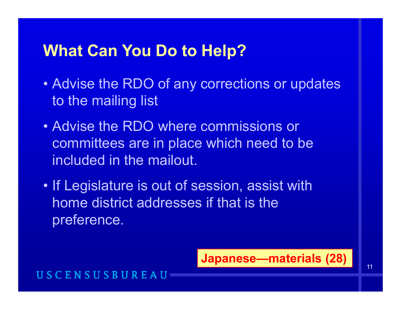## **What Can You Do to Hel p ?**

- Advise the RDO of any corrections or updates to the mailing list
- Advise the RDO where commissions or committees are in place which need to be included in the mailout.
- If Legislature is out of session, assist with home district addresses if that is the preference.

**Japanese —materials (28)**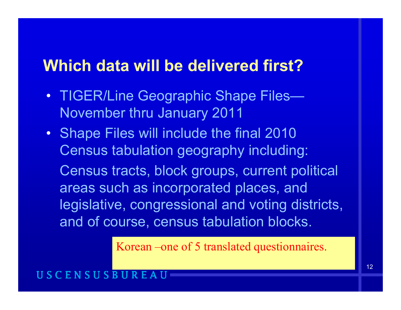### **Which data will be delivered first?**

- TIGER/Line Geographic Shape Files  $\mathcal{L}=\mathcal{L}^{\text{max}}$  , where  $\mathcal{L}^{\text{max}}$ November thru January 2011
- Shape Files will include the final 2010 Census tabulation geography including: Census tracts, block groups, current political areas such as incorporated places, and legislative, congressional and voting districts, and of course, census tabulation blocks.

Korean –one of 5 translated questionnaires.

#### ENSUSBU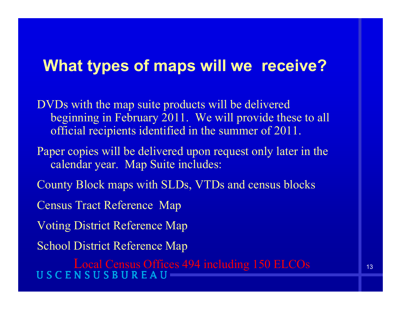### **What types of maps will we receive?**

- DVDs with the map suite products will be delivered beginning in February 2011. We will provide these to all official reci pients identified in the summer of 2011.
- Paper copies will be delivered upon request only later in the calendar year. Map Suite includes:
- County Block maps with SLDs, VTDs and census blocks
- Census Tract Reference Map
- Voting District Reference Map
- School District Reference Ma p

Local Census Offices 494 including 150 ELCOs<br>USCENSUSBUREAU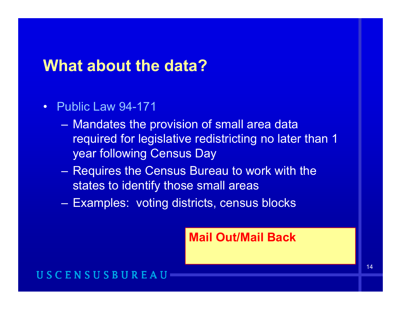### **What about the data?**

- Public Law 94-171
	- Mandates the provision of small area data required for legislative redistricting no later than 1 year following Census Day
	- – $-$  Requires the Census Bureau to work with the states to identify those small areas
	- Examples: voting districts, census blocks

**Mail Out/Mail Back**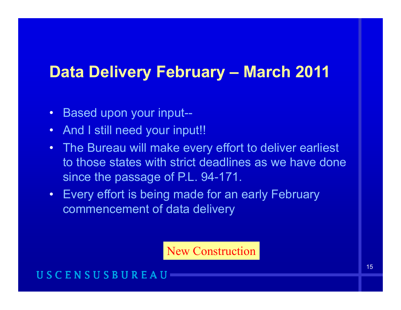### **Data Delivery February – March 2011**

- $\bullet$ Based upon your input--
- $\bullet$ And I still need your input!!
- The Bureau will make every effort to deliver earliest to those states with strict deadlines as we have done since the passage of P.L. 94-171.
- Every effort is being made for an early February commencement of data deliver y

New Construction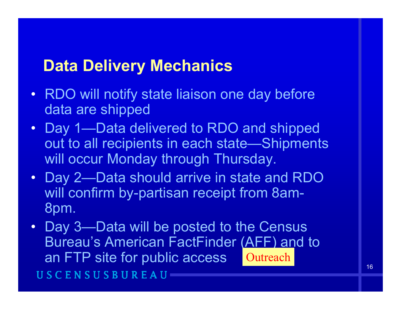### **Data Delivery Mechanics**

- RDO will notify state liaison one day before data are shipped
- Da y 1—Data delivered to RDO and shipped out to all recipients in each state—Shipments will occur Monday through Thursday.
- Day 2- Data should arrive in state and RDO will confirm by-partisan receipt from 8am-8 pm.
- Day 3—Data will be posted to the Census Bureau's American FactFinder (AFF) and to an FTP site for public access Qutreach USCENSUSBUREAU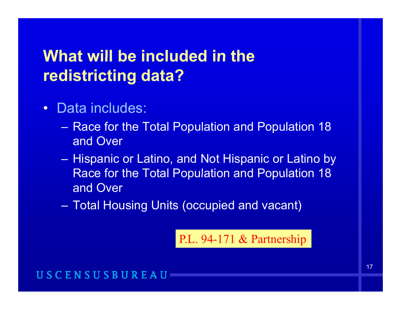# **What will be included in the will the redistricting data?**

- $\bullet$  Data includes:
	- Race for the Total Population and Population 18 and Over
	- – Hispanic or Latino, and Not Hispanic or Latino by Race for the Total Population and Population 18 and Over
	- $\mathcal{L}_{\mathcal{A}}$ Total Housing Units (occupied and vacant)

P.L. 94-171 & Partnership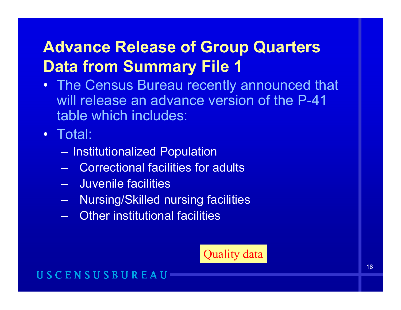# **Advance Release of Group Quarters Data from Summary File 1**

• The Census Bureau recently announced that will release an advance version of the P-41 table which includes:

• Total:

- Institutionalized Population
- Correctional facilities for adults
- –Juvenile facilities
- $\mathcal{L}_{\mathcal{A}}$ Nursing/Skilled nursing facilities
- Other institutional facilities

#### Quality dat Quality aa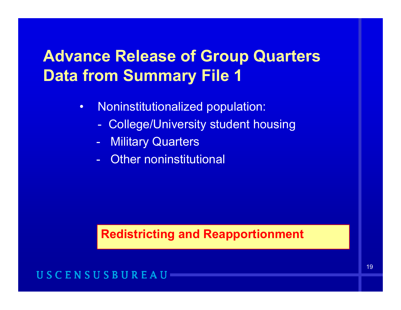# **Advance Release of Group Quarters Group Data from Summary File 1**

- $\bullet$  Noninstitutionalized population:
	- -College/University student housing
	- -**Military Quarters**
	- Other noninstitutional

### **Redistricting and Reapportionment**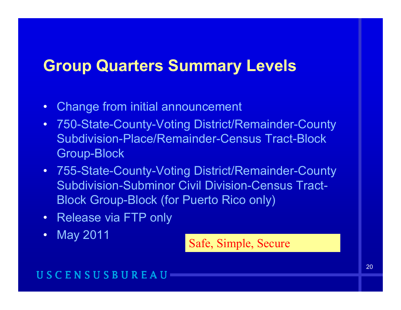### **Group Quarters Summary Levels**

- $\bullet$ Change from initial announcement
- $\bullet$  750-State-County-Voting District/Remainder-County Subdivision-Place/Remainder-Census Tract-Block Group-Block
- 755-State-County-Voting District/Remainder-County Subdivision-Subminor Civil Division-Census Tract-Block Group-Block (for Puerto Rico only)
- Release via FTP only
- $\bullet$

May 2011 Safe, Simple, Secure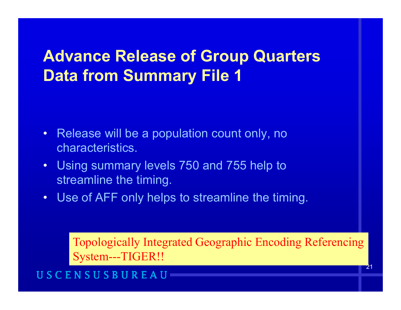# **Advance Release of Group Quarters Group Data from Summary File 1**

- $\bullet~$  Release will be a population count only, no characteristics.
- • Using summary levels 750 and 755 help to streamline the timing.
- Use of AFF only helps to streamline the timing.

Topologically Integrated Geographic Encoding Referencing System---TIGER!!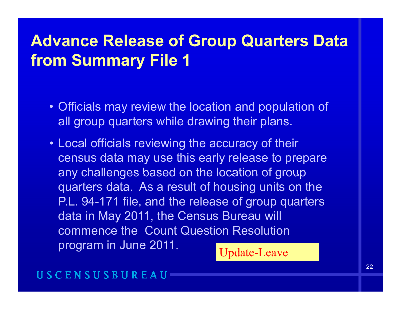## **Advance Release of Group Quarters Data f S Fil 1 from Summary File**

- Officials may review the location and population of all group quarters while drawing their plans.
- Local officials reviewing the accuracy of their census data may use this early release to prepare any challenges based on the location of group quarters data. As a result of housing units on the P.L. 94-171 file, and the release of group quarters data in May 2011, the Census Bureau will commence the Count Question Resolution program in June 2011. Update-Leave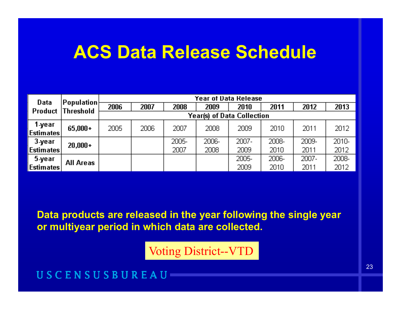# **ACS Data Release Schedule**

| Data                              | $ {\sf Population} $<br><b>Threshold</b> | Year of Data Release |      |               |               |               |               |               |               |
|-----------------------------------|------------------------------------------|----------------------|------|---------------|---------------|---------------|---------------|---------------|---------------|
| Product                           |                                          | 2006                 | 2007 | 2008          | 2009          | 2010          | 2011          | 2012          | 2013          |
|                                   | <b>Year(s) of Data Collection</b>        |                      |      |               |               |               |               |               |               |
| 1-year<br>∣Estimates <sup>∤</sup> | $65,000+$                                | 2005                 | 2006 | 2007          | 2008          | 2009          | 2010          | 2011          | 2012          |
| 3-уеаг<br><u> Estimates </u>      | $20,000+$                                |                      |      | 2005-<br>2007 | 2006-<br>2008 | 2007-<br>2009 | 2008-<br>2010 | 2009-<br>2011 | 2010-<br>2012 |
| 5-year<br> Estimates              | All Areas                                |                      |      |               |               | 2005-<br>2009 | 2006-<br>2010 | 2007-<br>2011 | 2008-<br>2012 |

Data products are released in the year following the single year **or multiyear period in which data are collected.** 

Voting District--VTD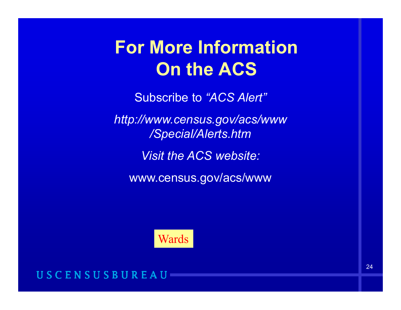# **For More Information On the ACS**

Subscribe to *"ACS Alert" ACS Alert*

*http://www.census.gov/acs/www /Special/Alerts htm /Special/Alerts.htm*

*Visit the ACS website:*

www.census.gov/acs/www

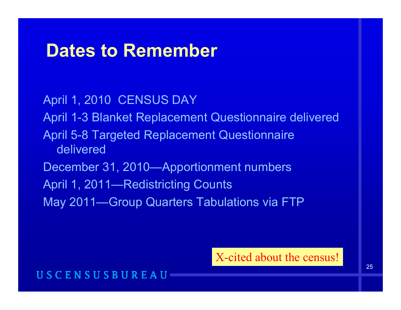# **Dates to Remember**

April 1, 2010 CENSUS DAY April 1-3 Blanket Replacement Questionnaire delivered April 5-8 Targeted Replacement Questionnaire deliveredDecember 31, 2010—Apportionment numbers April 1, 2011—Redistricting Counts May 2011—Group Quarters Tabulations via FTP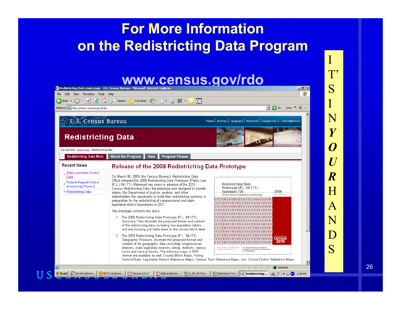### **For More Information on the Redistricting Data Program**

# www.census.gov/rdo T'

|                                                                                                                                   | Redistricting Data main page - U.S. Census Bureau - Microsoft Internet Explorer                                                                                                                                                                                                                                                                                                                                                                                                                                                                                                                                                                                                                                                                                                                                                                                                                                                                                                                                                                                                                                                                                                                                                                                                                                                                        |                                                                                                                                                                                                                                                                                                                                | $ F$ $\times$                               |
|-----------------------------------------------------------------------------------------------------------------------------------|--------------------------------------------------------------------------------------------------------------------------------------------------------------------------------------------------------------------------------------------------------------------------------------------------------------------------------------------------------------------------------------------------------------------------------------------------------------------------------------------------------------------------------------------------------------------------------------------------------------------------------------------------------------------------------------------------------------------------------------------------------------------------------------------------------------------------------------------------------------------------------------------------------------------------------------------------------------------------------------------------------------------------------------------------------------------------------------------------------------------------------------------------------------------------------------------------------------------------------------------------------------------------------------------------------------------------------------------------------|--------------------------------------------------------------------------------------------------------------------------------------------------------------------------------------------------------------------------------------------------------------------------------------------------------------------------------|---------------------------------------------|
| File<br>Edit<br>Favorites<br>Tools<br>View                                                                                        | Help                                                                                                                                                                                                                                                                                                                                                                                                                                                                                                                                                                                                                                                                                                                                                                                                                                                                                                                                                                                                                                                                                                                                                                                                                                                                                                                                                   |                                                                                                                                                                                                                                                                                                                                |                                             |
| e<br>×<br>Back $\sim$                                                                                                             | $\mathbb{E}$ .<br>$\beta$ .<br>$\overline{\diamond}$<br>Favorites<br>$-5 - 3$<br>Search $\sum$                                                                                                                                                                                                                                                                                                                                                                                                                                                                                                                                                                                                                                                                                                                                                                                                                                                                                                                                                                                                                                                                                                                                                                                                                                                         |                                                                                                                                                                                                                                                                                                                                |                                             |
| Address & http://www.census.gov/rdo/                                                                                              |                                                                                                                                                                                                                                                                                                                                                                                                                                                                                                                                                                                                                                                                                                                                                                                                                                                                                                                                                                                                                                                                                                                                                                                                                                                                                                                                                        | $\mathbf{r}$                                                                                                                                                                                                                                                                                                                   | $\rightarrow$ Go<br>$\rightarrow$<br>Links  |
| <b>U.S. Census Bureau</b><br><b>Redistricting Data</b>                                                                            |                                                                                                                                                                                                                                                                                                                                                                                                                                                                                                                                                                                                                                                                                                                                                                                                                                                                                                                                                                                                                                                                                                                                                                                                                                                                                                                                                        | People   Business   Geography   Newsroom   Subjects Ato Z   Search@Census                                                                                                                                                                                                                                                      |                                             |
| You are here: Census.gov > Redistricting Data<br><b>Redistricting Data Main</b>                                                   | <b>About the Program</b><br><b>Program Phases</b><br>Data                                                                                                                                                                                                                                                                                                                                                                                                                                                                                                                                                                                                                                                                                                                                                                                                                                                                                                                                                                                                                                                                                                                                                                                                                                                                                              |                                                                                                                                                                                                                                                                                                                                |                                             |
| <b>Recent News</b><br>State Legislative District<br>Data<br>Federal Register Notice<br>announcing Phase 2<br>■ Redistricting Data | Release of the 2008 Redistricting Data Prototype<br>On March 30, 2009, the Census Bureau's Redistricting Data<br>Office released the 2008 Redistricting Data Prototype (Public Law<br>(P.L.) 94-171). Released two years in advance of the 2010<br>Census Redistricting Data, the prototype was designed to provide<br>states, the Department of Justice, vendors, and other<br>stakeholders the opportunity to build their redistricting systems in<br>preparation for the redistricting of congressional and state<br>legislative district boundaries in 2011.<br>The prototype contains two discs:<br>1. The 2008 Redistricting Data Prototype (P.L. 94-171)<br>Summary Files illustrate the proposed format and content<br>of the redistricting data, including four population tables<br>and one housing unit table down to the census block level.<br>2. The 2008 Redistricting Data Prototype (P.L. 94-171).<br>Geographic Products illustrate the proposed format and<br>content of the geographic data, including congressional<br>districts, state legislative districts, voting districts, census<br>tracts and census blocks. The following maps in PDF<br>format are available as well: County Block Maps, Voting<br>District/State Legislative District Reference Maps, Census Tract Reference Maps, and School District Reference Maps. | Redistricting Data<br>Prototype (P.L. 94-171)<br>Summary File<br>2010 Census of Population and Housing<br><b>SBUREAUSCENSUSBU</b><br><b>SUSBUREAUSCEN</b><br>U S C E N S U S B U R E A U S C E N S U S B U R<br>U.S. Department of Commerce<br>USCENSUSRUREAU<br>Economics and Statistics Administration<br>U.S. CDVSUS BURGAL | 2008<br>Issued April 2009<br>Census<br>2010 |
| e                                                                                                                                 |                                                                                                                                                                                                                                                                                                                                                                                                                                                                                                                                                                                                                                                                                                                                                                                                                                                                                                                                                                                                                                                                                                                                                                                                                                                                                                                                                        |                                                                                                                                                                                                                                                                                                                                | <b>O</b> Internet                           |
| SO Novell-delivere<br>d'Istart                                                                                                    | BOC's Address<br>回 Census A to Z<br>a) AlabamaState                                                                                                                                                                                                                                                                                                                                                                                                                                                                                                                                                                                                                                                                                                                                                                                                                                                                                                                                                                                                                                                                                                                                                                                                                                                                                                    | 图 6_09_09 from    图 Submission Tra   @ Redistricting                                                                                                                                                                                                                                                                           | A 7 < 1 2:06 PM                             |

**US** 

26